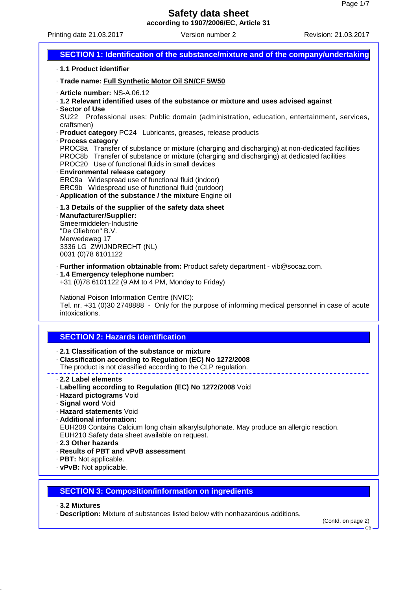Printing date 21.03.2017 Version number 2 Revision: 21.03.2017

| SECTION 1: Identification of the substance/mixture and of the company/undertaking                                                                                                                                                                                                                                                                                                                                                                                                                                                                                                                                                                                                                                                            |
|----------------------------------------------------------------------------------------------------------------------------------------------------------------------------------------------------------------------------------------------------------------------------------------------------------------------------------------------------------------------------------------------------------------------------------------------------------------------------------------------------------------------------------------------------------------------------------------------------------------------------------------------------------------------------------------------------------------------------------------------|
| .1.1 Product identifier                                                                                                                                                                                                                                                                                                                                                                                                                                                                                                                                                                                                                                                                                                                      |
| · Trade name: Full Synthetic Motor Oil SN/CF 5W50                                                                                                                                                                                                                                                                                                                                                                                                                                                                                                                                                                                                                                                                                            |
| - Article number: NS-A.06.12<br>. 1.2 Relevant identified uses of the substance or mixture and uses advised against<br>· Sector of Use<br>SU22 Professional uses: Public domain (administration, education, entertainment, services,<br>craftsmen)<br>· Product category PC24 Lubricants, greases, release products<br>· Process category<br>PROC8a Transfer of substance or mixture (charging and discharging) at non-dedicated facilities<br>PROC8b Transfer of substance or mixture (charging and discharging) at dedicated facilities<br>PROC20 Use of functional fluids in small devices<br>· Environmental release category<br>ERC9a Widespread use of functional fluid (indoor)<br>ERC9b Widespread use of functional fluid (outdoor) |
| . Application of the substance / the mixture Engine oil<br>· 1.3 Details of the supplier of the safety data sheet<br>· Manufacturer/Supplier:<br>Smeermiddelen-Industrie<br>"De Oliebron" B.V.<br>Merwedeweg 17<br>3336 LG ZWIJNDRECHT (NL)<br>0031 (0)78 6101122                                                                                                                                                                                                                                                                                                                                                                                                                                                                            |
| · Further information obtainable from: Product safety department - vib@socaz.com.<br>· 1.4 Emergency telephone number:<br>+31 (0)78 6101122 (9 AM to 4 PM, Monday to Friday)                                                                                                                                                                                                                                                                                                                                                                                                                                                                                                                                                                 |
| National Poison Information Centre (NVIC):<br>Tel. nr. +31 (0)30 2748888 - Only for the purpose of informing medical personnel in case of acute<br>intoxications.                                                                                                                                                                                                                                                                                                                                                                                                                                                                                                                                                                            |
|                                                                                                                                                                                                                                                                                                                                                                                                                                                                                                                                                                                                                                                                                                                                              |
| <b>SECTION 2: Hazards identification</b><br>0.4. Olan alflantinus of the public to                                                                                                                                                                                                                                                                                                                                                                                                                                                                                                                                                                                                                                                           |

- · **2.1 Classification of the substance or mixture**
- · **Classification according to Regulation (EC) No 1272/2008**
- The product is not classified according to the CLP regulation.
- · **2.2 Label elements**
- · **Labelling according to Regulation (EC) No 1272/2008** Void
- · **Hazard pictograms** Void
- · **Signal word** Void
- · **Hazard statements** Void
- · **Additional information:**

EUH208 Contains Calcium long chain alkarylsulphonate. May produce an allergic reaction. EUH210 Safety data sheet available on request.

- · **2.3 Other hazards**
- · **Results of PBT and vPvB assessment**
- · **PBT:** Not applicable.
- · **vPvB:** Not applicable.

# **SECTION 3: Composition/information on ingredients**

- · **3.2 Mixtures**
- · **Description:** Mixture of substances listed below with nonhazardous additions.

(Contd. on page 2)

GB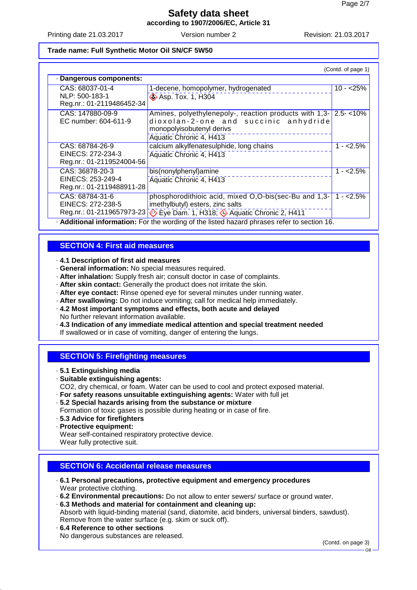Printing date 21.03.2017 Version number 2 Revision: 21.03.2017

#### **Trade name: Full Synthetic Motor Oil SN/CF 5W50**

| (Contd. of page 1)                                                                          |                                                                                                                                                                                                  |            |  |  |
|---------------------------------------------------------------------------------------------|--------------------------------------------------------------------------------------------------------------------------------------------------------------------------------------------------|------------|--|--|
| · Dangerous components:                                                                     |                                                                                                                                                                                                  |            |  |  |
| CAS: 68037-01-4<br>NLP: 500-183-1                                                           | 1-decene, homopolymer, hydrogenated<br><b>&amp; Asp. Tox. 1, H304</b>                                                                                                                            | $10 - 25%$ |  |  |
| Reg.nr.: 01-2119486452-34                                                                   |                                                                                                                                                                                                  |            |  |  |
| CAS: 147880-09-9<br>EC number: 604-611-9                                                    | Amines, polyethylenepoly-, reaction products with $1,3$ - $2.5$ - $10\%$<br>dioxolan-2-one and succinic anhydride<br>monopolyisobutenyl derivs<br>Aquatic Chronic 4, H413                        |            |  |  |
| CAS: 68784-26-9<br>EINECS: 272-234-3<br>Reg.nr.: 01-2119524004-56                           | calcium alkylfenatesulphide, long chains<br>Aquatic Chronic 4, H413                                                                                                                              | $1 - 2.5%$ |  |  |
| CAS: 36878-20-3<br>EINECS: 253-249-4<br>Reg.nr.: 01-2119488911-28                           | bis(nonylphenyl)amine<br>Aquatic Chronic 4, H413                                                                                                                                                 | $1 - 2.5%$ |  |  |
| CAS: 68784-31-6<br>EINECS: 272-238-5                                                        | phosphorodithioic acid, mixed $O.O-bis(sec-Bu)$ and $1,3-1-2.5\%$<br>imethylbutyl) esters, zinc salts<br>Reg.nr.: 01-2119657973-23 $\otimes$ Eye Dam. 1, H318; $\otimes$ Aquatic Chronic 2, H411 |            |  |  |
| . Additional information: For the wording of the listed hazard phrases refer to section 16. |                                                                                                                                                                                                  |            |  |  |

### **SECTION 4: First aid measures**

#### · **4.1 Description of first aid measures**

- · **General information:** No special measures required.
- · **After inhalation:** Supply fresh air; consult doctor in case of complaints.
- · **After skin contact:** Generally the product does not irritate the skin.
- · **After eye contact:** Rinse opened eye for several minutes under running water.
- · **After swallowing:** Do not induce vomiting; call for medical help immediately.
- · **4.2 Most important symptoms and effects, both acute and delayed** No further relevant information available.
- · **4.3 Indication of any immediate medical attention and special treatment needed**

If swallowed or in case of vomiting, danger of entering the lungs.

### **SECTION 5: Firefighting measures**

- · **5.1 Extinguishing media**
- · **Suitable extinguishing agents:**
- CO2, dry chemical, or foam. Water can be used to cool and protect exposed material.
- · **For safety reasons unsuitable extinguishing agents:** Water with full jet
- · **5.2 Special hazards arising from the substance or mixture**

Formation of toxic gases is possible during heating or in case of fire.

- · **5.3 Advice for firefighters**
- · **Protective equipment:**

Wear self-contained respiratory protective device.

Wear fully protective suit.

# **SECTION 6: Accidental release measures**

- · **6.1 Personal precautions, protective equipment and emergency procedures** Wear protective clothing.
- · **6.2 Environmental precautions:** Do not allow to enter sewers/ surface or ground water.
- · **6.3 Methods and material for containment and cleaning up:** Absorb with liquid-binding material (sand, diatomite, acid binders, universal binders, sawdust). Remove from the water surface (e.g. skim or suck off).
- · **6.4 Reference to other sections**

No dangerous substances are released.

(Contd. on page 3)

GB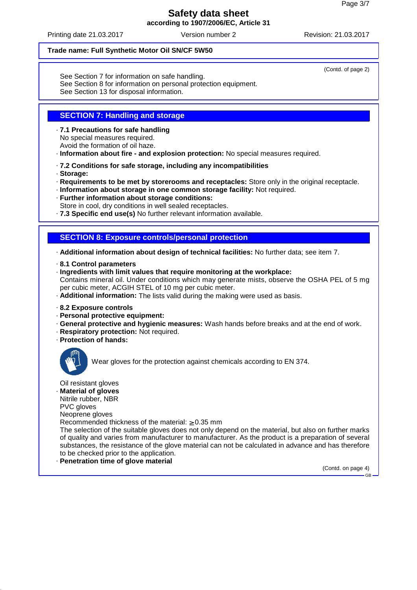Printing date 21.03.2017 Version number 2 Revision: 21.03.2017

#### **Trade name: Full Synthetic Motor Oil SN/CF 5W50**

See Section 7 for information on safe handling.

- See Section 8 for information on personal protection equipment.
- See Section 13 for disposal information.

# **SECTION 7: Handling and storage**

· **7.1 Precautions for safe handling**

No special measures required.

Avoid the formation of oil haze.

· **Information about fire - and explosion protection:** No special measures required.

- · **7.2 Conditions for safe storage, including any incompatibilities**
- · **Storage:**

· **Requirements to be met by storerooms and receptacles:** Store only in the original receptacle.

- · **Information about storage in one common storage facility:** Not required.
- · **Further information about storage conditions:**
- Store in cool, dry conditions in well sealed receptacles.
- · **7.3 Specific end use(s)** No further relevant information available.

### **SECTION 8: Exposure controls/personal protection**

· **Additional information about design of technical facilities:** No further data; see item 7.

- · **8.1 Control parameters**
- · **Ingredients with limit values that require monitoring at the workplace:** Contains mineral oil. Under conditions which may generate mists, observe the OSHA PEL of 5 mg per cubic meter, ACGIH STEL of 10 mg per cubic meter.
- · **Additional information:** The lists valid during the making were used as basis.
- · **8.2 Exposure controls**
- · **Personal protective equipment:**
- · **General protective and hygienic measures:** Wash hands before breaks and at the end of work.
- · **Respiratory protection:** Not required.
- · **Protection of hands:**



Wear gloves for the protection against chemicals according to EN 374.

Oil resistant gloves

· **Material of gloves**

Nitrile rubber, NBR

PVC gloves

Neoprene gloves

Recommended thickness of the material:  $\geq 0.35$  mm

The selection of the suitable gloves does not only depend on the material, but also on further marks of quality and varies from manufacturer to manufacturer. As the product is a preparation of several substances, the resistance of the glove material can not be calculated in advance and has therefore to be checked prior to the application.

· **Penetration time of glove material**

(Contd. on page 4)

GB

(Contd. of page 2)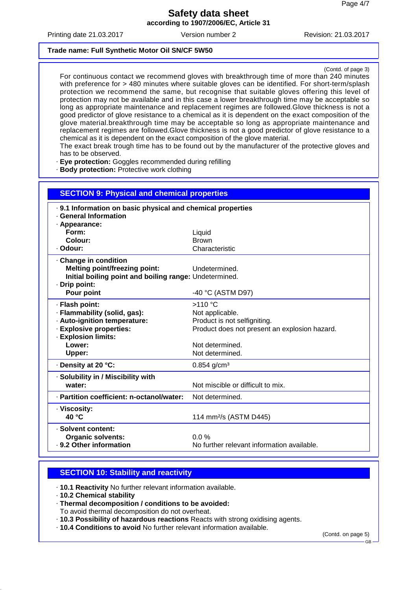Printing date 21.03.2017 Version number 2 Revision: 21.03.2017

#### **Trade name: Full Synthetic Motor Oil SN/CF 5W50**

(Contd. of page 3)

For continuous contact we recommend gloves with breakthrough time of more than 240 minutes with preference for > 480 minutes where suitable gloves can be identified. For short-term/splash protection we recommend the same, but recognise that suitable gloves offering this level of protection may not be available and in this case a lower breakthrough time may be acceptable so long as appropriate maintenance and replacement regimes are followed.Glove thickness is not a good predictor of glove resistance to a chemical as it is dependent on the exact composition of the glove material.breakthrough time may be acceptable so long as appropriate maintenance and replacement regimes are followed.Glove thickness is not a good predictor of glove resistance to a chemical as it is dependent on the exact composition of the glove material.

The exact break trough time has to be found out by the manufacturer of the protective gloves and has to be observed.

· **Eye protection:** Goggles recommended during refilling

· **Body protection:** Protective work clothing

| <b>SECTION 9: Physical and chemical properties</b>          |                                               |  |  |  |
|-------------------------------------------------------------|-----------------------------------------------|--|--|--|
| . 9.1 Information on basic physical and chemical properties |                                               |  |  |  |
| · General Information<br>· Appearance:                      |                                               |  |  |  |
| Form:                                                       | Liquid                                        |  |  |  |
| Colour:                                                     | <b>Brown</b>                                  |  |  |  |
| · Odour:                                                    | Characteristic                                |  |  |  |
| Change in condition                                         |                                               |  |  |  |
| <b>Melting point/freezing point:</b>                        | Undetermined.                                 |  |  |  |
| Initial boiling point and boiling range: Undetermined.      |                                               |  |  |  |
| · Drip point:                                               |                                               |  |  |  |
| Pour point                                                  | -40 °C (ASTM D97)                             |  |  |  |
| · Flash point:                                              | $>110$ °C                                     |  |  |  |
| · Flammability (solid, gas):                                | Not applicable.                               |  |  |  |
| · Auto-ignition temperature:                                | Product is not selfigniting.                  |  |  |  |
| · Explosive properties:                                     | Product does not present an explosion hazard. |  |  |  |
| · Explosion limits:                                         |                                               |  |  |  |
| Lower:                                                      | Not determined.                               |  |  |  |
| Upper:                                                      | Not determined.                               |  |  |  |
| · Density at 20 °C:                                         | $0.854$ g/cm <sup>3</sup>                     |  |  |  |
| · Solubility in / Miscibility with                          |                                               |  |  |  |
| water:                                                      | Not miscible or difficult to mix.             |  |  |  |
| · Partition coefficient: n-octanol/water:                   | Not determined.                               |  |  |  |
| · Viscosity:                                                |                                               |  |  |  |
| 40 °C                                                       | 114 mm <sup>2</sup> /s (ASTM D445)            |  |  |  |
| · Solvent content:                                          |                                               |  |  |  |
| <b>Organic solvents:</b>                                    | $0.0\%$                                       |  |  |  |
| . 9.2 Other information                                     | No further relevant information available.    |  |  |  |

#### **SECTION 10: Stability and reactivity**

· **10.1 Reactivity** No further relevant information available.

- · **10.2 Chemical stability**
- · **Thermal decomposition / conditions to be avoided:**
- To avoid thermal decomposition do not overheat.
- · **10.3 Possibility of hazardous reactions** Reacts with strong oxidising agents.
- · **10.4 Conditions to avoid** No further relevant information available.

(Contd. on page 5)

GB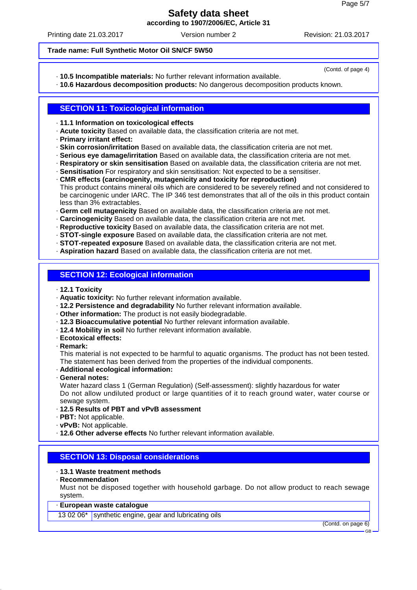Printing date 21.03.2017 Version number 2 Revision: 21.03.2017

(Contd. of page 4)

#### **Trade name: Full Synthetic Motor Oil SN/CF 5W50**

· **10.5 Incompatible materials:** No further relevant information available.

· **10.6 Hazardous decomposition products:** No dangerous decomposition products known.

# **SECTION 11: Toxicological information**

· **11.1 Information on toxicological effects**

- · **Acute toxicity** Based on available data, the classification criteria are not met.
- · **Primary irritant effect:**
- · **Skin corrosion/irritation** Based on available data, the classification criteria are not met.
- · **Serious eye damage/irritation** Based on available data, the classification criteria are not met.
- · **Respiratory or skin sensitisation** Based on available data, the classification criteria are not met.
- · **Sensitisation** For respiratory and skin sensitisation: Not expected to be a sensitiser.
- · **CMR effects (carcinogenity, mutagenicity and toxicity for reproduction)** This product contains mineral oils which are considered to be severely refined and not considered to be carcinogenic under IARC. The IP 346 test demonstrates that all of the oils in this product contain less than 3% extractables.
- · **Germ cell mutagenicity** Based on available data, the classification criteria are not met.

· **Carcinogenicity** Based on available data, the classification criteria are not met.

· **Reproductive toxicity** Based on available data, the classification criteria are not met.

· **STOT-single exposure** Based on available data, the classification criteria are not met.

- · **STOT-repeated exposure** Based on available data, the classification criteria are not met.
- · **Aspiration hazard** Based on available data, the classification criteria are not met.

# **SECTION 12: Ecological information**

- · **12.1 Toxicity**
- · **Aquatic toxicity:** No further relevant information available.
- · **12.2 Persistence and degradability** No further relevant information available.
- · **Other information:** The product is not easily biodegradable.
- · **12.3 Bioaccumulative potential** No further relevant information available.
- · **12.4 Mobility in soil** No further relevant information available.
- · **Ecotoxical effects:**
- · **Remark:**

This material is not expected to be harmful to aquatic organisms. The product has not been tested. The statement has been derived from the properties of the individual components.

- · **Additional ecological information:**
- · **General notes:**

Water hazard class 1 (German Regulation) (Self-assessment): slightly hazardous for water Do not allow undiluted product or large quantities of it to reach ground water, water course or sewage system.

- · **12.5 Results of PBT and vPvB assessment**
- · **PBT:** Not applicable.
- · **vPvB:** Not applicable.
- · **12.6 Other adverse effects** No further relevant information available.

# **SECTION 13: Disposal considerations**

# · **13.1 Waste treatment methods**

· **Recommendation**

Must not be disposed together with household garbage. Do not allow product to reach sewage system.

## · **European waste catalogue**

13 02 06\* synthetic engine, gear and lubricating oils

(Contd. on page 6)

GB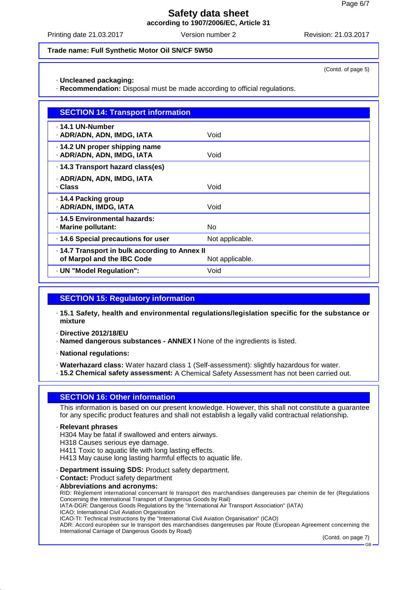Printing date 21.03.2017 Version number 2 Revision: 21.03.2017

#### **Trade name: Full Synthetic Motor Oil SN/CF 5W50**

· **Uncleaned packaging:**

· **Recommendation:** Disposal must be made according to official regulations.

| <b>SECTION 14: Transport information</b>                                   |                 |
|----------------------------------------------------------------------------|-----------------|
| . 14.1 UN-Number<br>· ADR/ADN, ADN, IMDG, IATA                             | Void            |
| 14.2 UN proper shipping name<br>· ADR/ADN, ADN, IMDG, IATA                 | Void            |
| 14.3 Transport hazard class(es)                                            |                 |
| · ADR/ADN, ADN, IMDG, IATA<br>· Class                                      | Void            |
| 14.4 Packing group<br>· ADR/ADN, IMDG, IATA                                | Void            |
| . 14.5 Environmental hazards:<br>· Marine pollutant:                       | No.             |
| · 14.6 Special precautions for user                                        | Not applicable. |
| 14.7 Transport in bulk according to Annex II<br>of Marpol and the IBC Code | Not applicable. |
| · UN "Model Regulation":                                                   | Void            |

# **SECTION 15: Regulatory information**

· **15.1 Safety, health and environmental regulations/legislation specific for the substance or mixture**

· **Directive 2012/18/EU**

· **Named dangerous substances - ANNEX I** None of the ingredients is listed.

· **National regulations:**

· **Waterhazard class:** Water hazard class 1 (Self-assessment): slightly hazardous for water.

· **15.2 Chemical safety assessment:** A Chemical Safety Assessment has not been carried out.

### **SECTION 16: Other information**

This information is based on our present knowledge. However, this shall not constitute a guarantee for any specific product features and shall not establish a legally valid contractual relationship.

· **Relevant phrases**

H304 May be fatal if swallowed and enters airways.

H318 Causes serious eye damage.

H411 Toxic to aquatic life with long lasting effects.

H413 May cause long lasting harmful effects to aquatic life.

· **Department issuing SDS:** Product safety department.

· **Contact:** Product safety department

· **Abbreviations and acronyms:**

RID: Règlement international concernant le transport des marchandises dangereuses par chemin de fer (Regulations Concerning the International Transport of Dangerous Goods by Rail)

IATA-DGR: Dangerous Goods Regulations by the "International Air Transport Association" (IATA)

ICAO: International Civil Aviation Organisation

ICAO-TI: Technical Instructions by the "International Civil Aviation Organisation" (ICAO)

ADR: Accord européen sur le transport des marchandises dangereuses par Route (European Agreement concerning the International Carriage of Dangerous Goods by Road)

(Contd. on page 7)

(Contd. of page 5)

GB